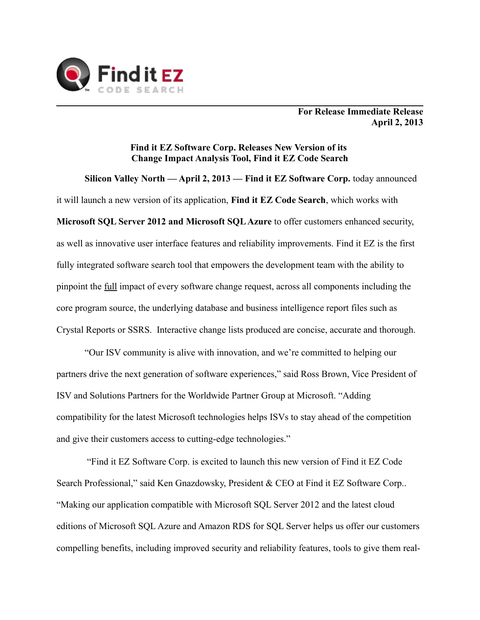

**For Release Immediate Release April 2, 2013**

## **Find it EZ Software Corp. Releases New Version of its Change Impact Analysis Tool, Find it EZ Code Search**

**Silicon Valley North — April 2, 2013 — Find it EZ Software Corp.** today announced it will launch a new version of its application, **Find it EZ Code Search**, which works with **Microsoft SQL Server 2012 and Microsoft SQL Azure** to offer customers enhanced security, as well as innovative user interface features and reliability improvements. Find it EZ is the first fully integrated software search tool that empowers the development team with the ability to pinpoint the full impact of every software change request, across all components including the core program source, the underlying database and business intelligence report files such as Crystal Reports or SSRS. Interactive change lists produced are concise, accurate and thorough.

"Our ISV community is alive with innovation, and we're committed to helping our partners drive the next generation of software experiences," said Ross Brown, Vice President of ISV and Solutions Partners for the Worldwide Partner Group at Microsoft. "Adding compatibility for the latest Microsoft technologies helps ISVs to stay ahead of the competition and give their customers access to cutting-edge technologies."

 "Find it EZ Software Corp. is excited to launch this new version of Find it EZ Code Search Professional," said Ken Gnazdowsky, President & CEO at Find it EZ Software Corp.. "Making our application compatible with Microsoft SQL Server 2012 and the latest cloud editions of Microsoft SQL Azure and Amazon RDS for SQL Server helps us offer our customers compelling benefits, including improved security and reliability features, tools to give them real